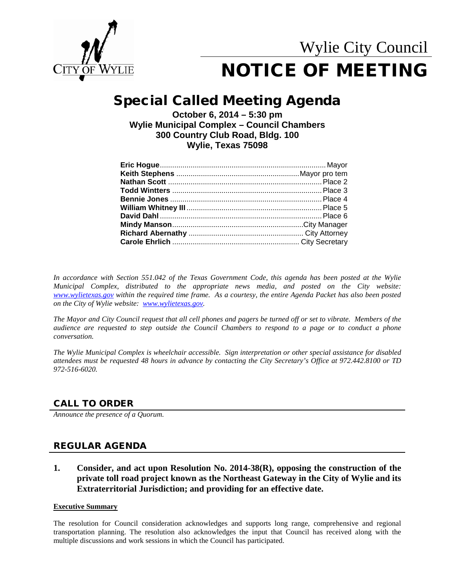

## Special Called Meeting Agenda

**October 6, 2014 – 5:30 pm Wylie Municipal Complex – Council Chambers 300 Country Club Road, Bldg. 100 Wylie, Texas 75098**

*In accordance with Section 551.042 of the Texas Government Code, this agenda has been posted at the Wylie Municipal Complex, distributed to the appropriate news media, and posted on the City website: [www.wylietexas.gov](http://www.wylietexas.gov/) within the required time frame. As a courtesy, the entire Agenda Packet has also been posted on the City of Wylie website: [www.wylietexas.gov.](http://www.wylietexas.gov/)* 

*The Mayor and City Council request that all cell phones and pagers be turned off or set to vibrate. Members of the audience are requested to step outside the Council Chambers to respond to a page or to conduct a phone conversation.*

*The Wylie Municipal Complex is wheelchair accessible. Sign interpretation or other special assistance for disabled attendees must be requested 48 hours in advance by contacting the City Secretary's Office at 972.442.8100 or TD 972-516-6020.*

## CALL TO ORDER

*Announce the presence of a Quorum.*

## REGULAR AGENDA

**1. Consider, and act upon Resolution No. 2014-38(R), opposing the construction of the private toll road project known as the Northeast Gateway in the City of Wylie and its Extraterritorial Jurisdiction; and providing for an effective date.**

#### **Executive Summary**

The resolution for Council consideration acknowledges and supports long range, comprehensive and regional transportation planning. The resolution also acknowledges the input that Council has received along with the multiple discussions and work sessions in which the Council has participated.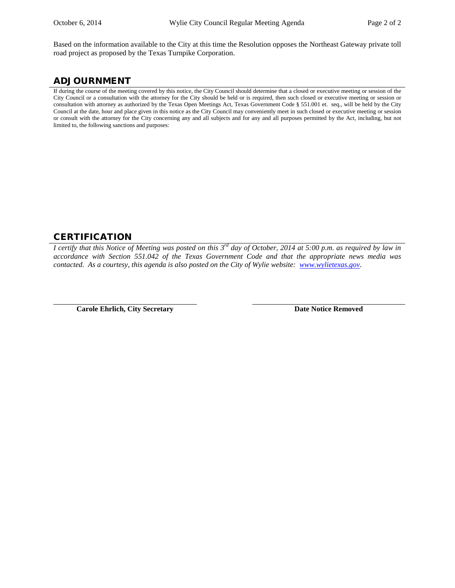Based on the information available to the City at this time the Resolution opposes the Northeast Gateway private toll road project as proposed by the Texas Turnpike Corporation.

## ADJOURNMENT

If during the course of the meeting covered by this notice, the City Council should determine that a closed or executive meeting or session of the City Council or a consultation with the attorney for the City should be held or is required, then such closed or executive meeting or session or consultation with attorney as authorized by the Texas Open Meetings Act, Texas Government Code § 551.001 et. seq., will be held by the City Council at the date, hour and place given in this notice as the City Council may conveniently meet in such closed or executive meeting or session or consult with the attorney for the City concerning any and all subjects and for any and all purposes permitted by the Act, including, but not limited to, the following sanctions and purposes:

## CERTIFICATION

*I certify that this Notice of Meeting was posted on this 3rd day of October, 2014 at 5:00 p.m. as required by law in accordance with Section 551.042 of the Texas Government Code and that the appropriate news media was contacted. As a courtesy, this agenda is also posted on the City of Wylie website: [www.wylietexas.gov.](http://www.wylietexas.gov/)* 

**Carole Ehrlich, City Secretary <b>Date Notice Removed Date Notice Removed**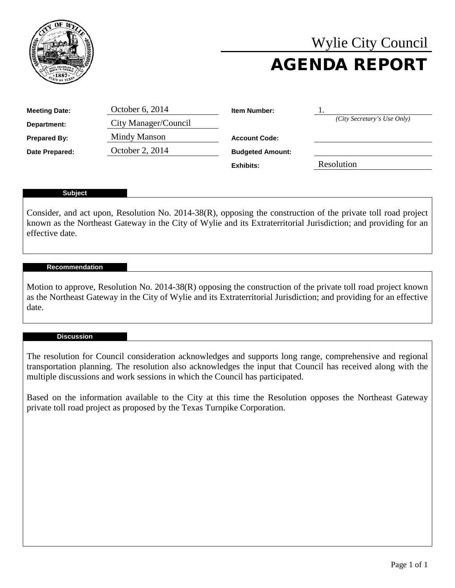

# Wylie City Council AGENDA REPORT

| <b>Meeting Date:</b> | October 6, 2014      | <b>Item Number:</b>     |                             |
|----------------------|----------------------|-------------------------|-----------------------------|
| Department:          | City Manager/Council |                         | (City Secretary's Use Only) |
| <b>Prepared By:</b>  | Mindy Manson         | <b>Account Code:</b>    |                             |
| Date Prepared:       | October 2, 2014      | <b>Budgeted Amount:</b> |                             |
|                      |                      | Fxhihits:               | Resolution                  |

#### **Subject**

Consider, and act upon, Resolution No. 2014-38(R), opposing the construction of the private toll road project known as the Northeast Gateway in the City of Wylie and its Extraterritorial Jurisdiction; and providing for an effective date.

#### **Recommendation**

Motion to approve, Resolution No. 2014-38(R) opposing the construction of the private toll road project known as the Northeast Gateway in the City of Wylie and its Extraterritorial Jurisdiction; and providing for an effective date.

#### **Discussion**

The resolution for Council consideration acknowledges and supports long range, comprehensive and regional transportation planning. The resolution also acknowledges the input that Council has received along with the multiple discussions and work sessions in which the Council has participated.

Based on the information available to the City at this time the Resolution opposes the Northeast Gateway private toll road project as proposed by the Texas Turnpike Corporation.